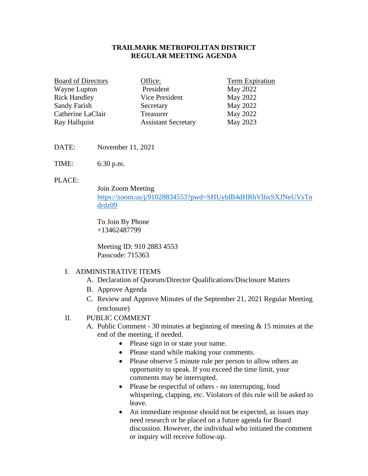## **TRAILMARK METROPOLITAN DISTRICT REGULAR MEETING AGENDA**

| <b>Board of Directors</b> | Office:                    | Term Expiration |
|---------------------------|----------------------------|-----------------|
| Wayne Lupton              | President                  | May 2022        |
| <b>Rick Handley</b>       | Vice President             | May 2022        |
| Sandy Farish              | Secretary                  | May 2022        |
| Catherine LaClair         | Treasurer                  | May 2022        |
| Ray Hallquist             | <b>Assistant Secretary</b> | May 2023        |

DATE: November 11, 2021

TIME: 6:30 p.m.

#### PLACE:

Join Zoom Meeting [https://zoom.us/j/91028834553?pwd=SHUyblB4dHRhVlhxSXJNeUVsTn](https://zoom.us/j/91028834553?pwd=SHUyblB4dHRhVlhxSXJNeUVsTndrdz09) [drdz09](https://zoom.us/j/91028834553?pwd=SHUyblB4dHRhVlhxSXJNeUVsTndrdz09)

To Join By Phone +13462487799

Meeting ID: 910 2883 4553 Passcode: 715363

### I. ADMINISTRATIVE ITEMS

- A. Declaration of Quorum/Director Qualifications/Disclosure Matters
- B. Approve Agenda
- C. Review and Approve Minutes of the September 21, 2021 Regular Meeting (enclosure)

## II. PUBLIC COMMENT

- A. Public Comment 30 minutes at beginning of meeting & 15 minutes at the end of the meeting, if needed.
	- Please sign in or state your name.
	- Please stand while making your comments.
	- Please observe 5 minute rule per person to allow others an opportunity to speak. If you exceed the time limit, your comments may be interrupted.
	- Please be respectful of others no interrupting, loud whispering, clapping, etc. Violators of this rule will be asked to leave.
	- An immediate response should not be expected, as issues may need research or be placed on a future agenda for Board discussion. However, the individual who initiated the comment or inquiry will receive follow-up.